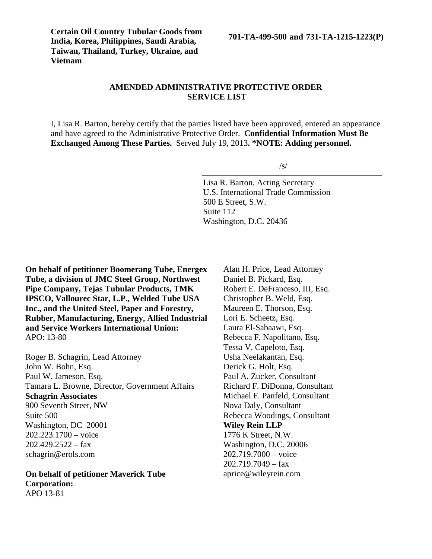**Certain Oil Country Tubular Goods from India, Korea, Philippines, Saudi Arabia, Taiwan, Thailand, Turkey, Ukraine, and Vietnam**

**701-TA-499-500 and 731-TA-1215-1223(P)**

# **AMENDED ADMINISTRATIVE PROTECTIVE ORDER SERVICE LIST**

I, Lisa R. Barton, hereby certify that the parties listed have been approved, entered an appearance and have agreed to the Administrative Protective Order. **Confidential Information Must Be Exchanged Among These Parties.** Served July 19, 2013**. \*NOTE: Adding personnel.**

 $\sqrt{s}$ 

Lisa R. Barton, Acting Secretary U.S. International Trade Commission 500 E Street, S.W. Suite 112 Washington, D.C. 20436

**On behalf of petitioner Boomerang Tube, Energex Tube, a division of JMC Steel Group, Northwest Pipe Company, Tejas Tubular Products, TMK IPSCO, Vallourec Star, L.P., Welded Tube USA Inc., and the United Steel, Paper and Forestry, Rubber, Manufacturing, Energy, Allied Industrial and Service Workers International Union:** APO: 13-80

Roger B. Schagrin, Lead Attorney John W. Bohn, Esq. Paul W. Jameson, Esq. Tamara L. Browne, Director, Government Affairs **Schagrin Associates** 900 Seventh Street, NW Suite 500 Washington, DC 20001 202.223.1700 – voice  $202.429.2522 - fax$ schagrin@erols.com

**On behalf of petitioner Maverick Tube Corporation:** APO 13-81

Alan H. Price, Lead Attorney Daniel B. Pickard, Esq. Robert E. DeFranceso, III, Esq. Christopher B. Weld, Esq. Maureen E. Thorson, Esq. Lori E. Scheetz, Esq. Laura El-Sabaawi, Esq. Rebecca F. Napolitano, Esq. Tessa V. Capeloto, Esq. Usha Neelakantan, Esq. Derick G. Holt, Esq. Paul A. Zucker, Consultant Richard F. DiDonna, Consultant Michael F. Panfeld, Consultant Nova Daly, Consultant Rebecca Woodings, Consultant **Wiley Rein LLP** 1776 K Street, N.W. Washington, D.C. 20006 202.719.7000 – voice  $202.719.7049 - fax$ aprice@wileyrein.com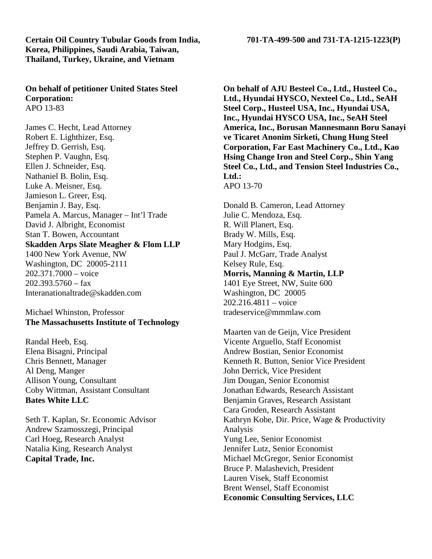### **Certain Oil Country Tubular Goods from India, 701-TA-499-500 and 731-TA-1215-1223(P) Korea, Philippines, Saudi Arabia, Taiwan, Thailand, Turkey, Ukraine, and Vietnam**

### **On behalf of petitioner United States Steel Corporation:** APO 13-83

James C. Hecht, Lead Attorney Robert E. Lighthizer, Esq. Jeffrey D. Gerrish, Esq. Stephen P. Vaughn, Esq. Ellen J. Schneider, Esq. Nathaniel B. Bolin, Esq. Luke A. Meisner, Esq. Jamieson L. Greer, Esq. Benjamin J. Bay, Esq. Pamela A. Marcus, Manager – Int'l Trade David J. Albright, Economist Stan T. Bowen, Accountant **Skadden Arps Slate Meagher & Flom LLP** 1400 New York Avenue, NW Washington, DC 20005-2111 202.371.7000 – voice  $202.393.5760 - fax$ Interanationaltrade@skadden.com

## Michael Whinston, Professor **The Massachusetts Institute of Technology**

Randal Heeb, Esq. Elena Bisagni, Principal Chris Bennett, Manager Al Deng, Manger Allison Young, Consultant Coby Wittman, Assistant Consultant **Bates White LLC**

Seth T. Kaplan, Sr. Economic Advisor Andrew Szamosszegi, Principal Carl Hoeg, Research Analyst Natalia King, Research Analyst **Capital Trade, Inc.**

**On behalf of AJU Besteel Co., Ltd., Husteel Co., Ltd., Hyundai HYSCO, Nexteel Co., Ltd., SeAH Steel Corp., Husteel USA, Inc., Hyundai USA, Inc., Hyundai HYSCO USA, Inc., SeAH Steel America, Inc., Borusan Mannesmann Boru Sanayi ve Ticaret Anonim Sirketi, Chung Hung Steel Corporation, Far East Machinery Co., Ltd., Kao Hsing Change Iron and Steel Corp., Shin Yang Steel Co., Ltd., and Tension Steel Industries Co., Ltd.:** APO 13-70

Donald B. Cameron, Lead Attorney Julie C. Mendoza, Esq. R. Will Planert, Esq. Brady W. Mills, Esq. Mary Hodgins, Esq. Paul J. McGarr, Trade Analyst Kelsey Rule, Esq. **Morris, Manning & Martin, LLP** 1401 Eye Street, NW, Suite 600 Washington, DC 20005 202.216.4811 – voice tradeservice@mmmlaw.com

Maarten van de Geijn, Vice President Vicente Arguello, Staff Economist Andrew Bostian, Senior Economist Kenneth R. Button, Senior Vice President John Derrick, Vice President Jim Dougan, Senior Economist Jonathan Edwards, Research Assistant Benjamin Graves, Research Assistant Cara Groden, Research Assistant Kathryn Kobe, Dir. Price, Wage & Productivity Analysis Yung Lee, Senior Economist Jennifer Lutz, Senior Economist Michael McGregor, Senior Economist Bruce P. Malashevich, President Lauren Visek, Staff Economist Brent Wensel, Staff Economist **Economic Consulting Services, LLC**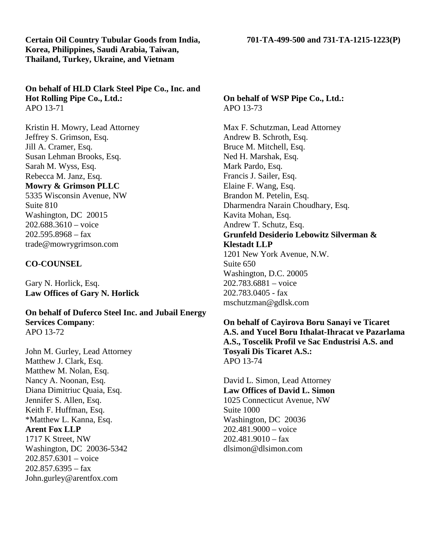**Certain Oil Country Tubular Goods from India, 701-TA-499-500 and 731-TA-1215-1223(P) Korea, Philippines, Saudi Arabia, Taiwan, Thailand, Turkey, Ukraine, and Vietnam**

**Hot Rolling Pipe Co., Ltd.:** APO 13-71

Kristin H. Mowry, Lead Attorney Jeffrey S. Grimson, Esq. Jill A. Cramer, Esq. Susan Lehman Brooks, Esq. Sarah M. Wyss, Esq. Rebecca M. Janz, Esq. **Mowry & Grimson PLLC** 5335 Wisconsin Avenue, NW Suite 810 Washington, DC 20015 202.688.3610 – voice 202.595.8968 – fax trade@mowrygrimson.com

# **CO-COUNSEL**

Gary N. Horlick, Esq. **Law Offices of Gary N. Horlick**

**On behalf of Duferco Steel Inc. and Jubail Energy Services Company**: APO 13-72

John M. Gurley, Lead Attorney Matthew J. Clark, Esq. Matthew M. Nolan, Esq. Nancy A. Noonan, Esq. Diana Dimitriuc Quaia, Esq. Jennifer S. Allen, Esq. Keith F. Huffman, Esq. \*Matthew L. Kanna, Esq. **Arent Fox LLP** 1717 K Street, NW Washington, DC 20036-5342 202.857.6301 – voice  $202.857.6395 - fax$ John.gurley@arentfox.com

# **On behalf of WSP Pipe Co., Ltd.:** APO 13-73

Max F. Schutzman, Lead Attorney Andrew B. Schroth, Esq. Bruce M. Mitchell, Esq. Ned H. Marshak, Esq. Mark Pardo, Esq. Francis J. Sailer, Esq. Elaine F. Wang, Esq. Brandon M. Petelin, Esq. Dharmendra Narain Choudhary, Esq. Kavita Mohan, Esq. Andrew T. Schutz, Esq. **Grunfeld Desiderio Lebowitz Silverman & Klestadt LLP** 1201 New York Avenue, N.W. Suite 650 Washington, D.C. 20005 202.783.6881 – voice 202.783.0405 - fax mschutzman@gdlsk.com

**On behalf of Cayirova Boru Sanayi ve Ticaret A.S. and Yucel Boru Ithalat-Ihracat ve Pazarlama A.S., Toscelik Profil ve Sac Endustrisi A.S. and Tosyali Dis Ticaret A.S.:** APO 13-74

David L. Simon, Lead Attorney **Law Offices of David L. Simon** 1025 Connecticut Avenue, NW Suite 1000 Washington, DC 20036 202.481.9000 – voice  $202.481.9010 -$ fax dlsimon@dlsimon.com